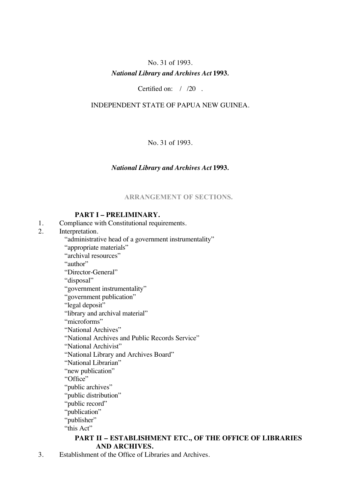# No. 31 of 1993. *National Library and Archives Act* **1993***.*

Certified on: / /20 .

# INDEPENDENT STATE OF PAPUA NEW GUINEA.

No. 31 of 1993.

# *National Library and Archives Act* **1993***.*

**ARRANGEMENT OF SECTIONS.**

# **PART I – PRELIMINARY.**

- 1. Compliance with Constitutional requirements.
- 2. Interpretation.
	- "administrative head of a government instrumentality"
	- "appropriate materials"
	- "archival resources"

"author"

"Director-General"

"disposal"

- "government instrumentality"
- "government publication"
- "legal deposit"
- "library and archival material"
- "microforms"

"National Archives"

- "National Archives and Public Records Service"
- "National Archivist"
- "National Library and Archives Board"
- "National Librarian"
- "new publication"

"Office"

"public archives"

"public distribution"

- "public record"
- "publication"
- "publisher"
- "this Act"

# **PART II – ESTABLISHMENT ETC., OF THE OFFICE OF LIBRARIES AND ARCHIVES.**

3. Establishment of the Office of Libraries and Archives.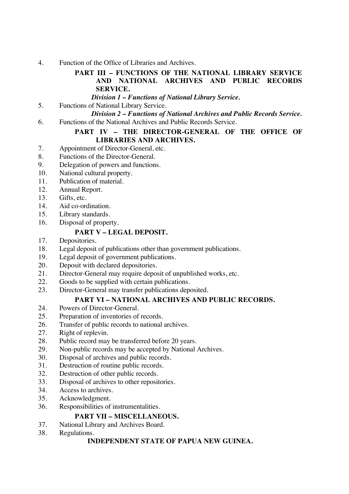4. Function of the Office of Libraries and Archives.

# **PART III – FUNCTIONS OF THE NATIONAL LIBRARY SERVICE AND NATIONAL ARCHIVES AND PUBLIC RECORDS SERVICE.**

*Division 1 – Functions of National Library Service.*

# 5. Functions of National Library Service.

*Division 2 – Functions of National Archives and Public Records Service.*

6. Functions of the National Archives and Public Records Service.

# PART IV - THE DIRECTOR-GENERAL OF THE OFFICE OF **LIBRARIES AND ARCHIVES.**

- 7. Appointment of Director-General, etc.
- 8. Functions of the Director-General.
- 9. Delegation of powers and functions.
- 10. National cultural property.
- 11. Publication of material.
- 12. Annual Report.
- 13. Gifts, etc.
- 14. Aid co-ordination.
- 15. Library standards.
- 16. Disposal of property.

# **PART V – LEGAL DEPOSIT.**

- 17. Depositories.
- 18. Legal deposit of publications other than government publications.
- 19. Legal deposit of government publications.
- 20. Deposit with declared depositories.
- 21. Director-General may require deposit of unpublished works, etc.
- 22. Goods to be supplied with certain publications.
- 23. Director-General may transfer publications deposited.

# **PART VI – NATIONAL ARCHIVES AND PUBLIC RECORDS.**

- 24. Powers of Director-General.
- 25. Preparation of inventories of records.
- 26. Transfer of public records to national archives.
- 27. Right of replevin.
- 28. Public record may be transferred before 20 years.
- 29. Non-public records may be accepted by National Archives.
- 30. Disposal of archives and public records.
- 31. Destruction of routine public records.
- 32. Destruction of other public records.
- 33. Disposal of archives to other repositories.
- 34. Access to archives.
- 35. Acknowledgment.
- 36. Responsibilities of instrumentalities.

# **PART VII – MISCELLANEOUS.**

- 37. National Library and Archives Board.
- 38. Regulations.

# **INDEPENDENT STATE OF PAPUA NEW GUINEA.**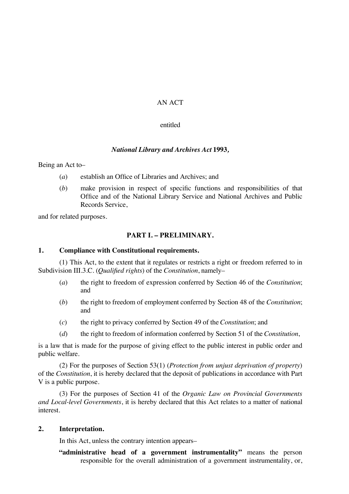# AN ACT

#### entitled

# *National Library and Archives Act* **1993***,*

Being an Act to–

- (*a*) establish an Office of Libraries and Archives; and
- (*b*) make provision in respect of specific functions and responsibilities of that Office and of the National Library Service and National Archives and Public Records Service,

and for related purposes.

# **PART I. – PRELIMINARY.**

#### **1. Compliance with Constitutional requirements.**

(1) This Act, to the extent that it regulates or restricts a right or freedom referred to in Subdivision III.3.C. (*Qualified rights*) of the *Constitution*, namely–

- (*a*) the right to freedom of expression conferred by Section 46 of the *Constitution*; and
- (*b*) the right to freedom of employment conferred by Section 48 of the *Constitution*; and
- (*c*) the right to privacy conferred by Section 49 of the *Constitution*; and
- (*d*) the right to freedom of information conferred by Section 51 of the *Constitution*,

is a law that is made for the purpose of giving effect to the public interest in public order and public welfare.

(2) For the purposes of Section 53(1) (*Protection from unjust deprivation of property*) of the *Constitution*, it is hereby declared that the deposit of publications in accordance with Part V is a public purpose.

(3) For the purposes of Section 41 of the *Organic Law on Provincial Governments and Local-level Governments*, it is hereby declared that this Act relates to a matter of national interest.

#### **2. Interpretation.**

In this Act, unless the contrary intention appears–

**"administrative head of a government instrumentality"** means the person responsible for the overall administration of a government instrumentality, or,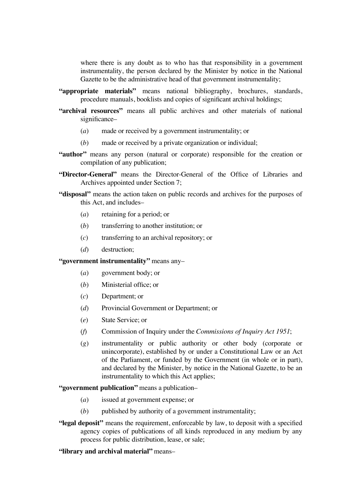where there is any doubt as to who has that responsibility in a government instrumentality, the person declared by the Minister by notice in the National Gazette to be the administrative head of that government instrumentality;

- **"appropriate materials"** means national bibliography, brochures, standards, procedure manuals, booklists and copies of significant archival holdings;
- **"archival resources"** means all public archives and other materials of national significance-
	- (*a*) made or received by a government instrumentality; or
	- (*b*) made or received by a private organization or individual;
- **"author"** means any person (natural or corporate) responsible for the creation or compilation of any publication;
- **"Director-General"** means the Director-General of the Office of Libraries and Archives appointed under Section 7;
- **"disposal"** means the action taken on public records and archives for the purposes of this Act, and includes–
	- (*a*) retaining for a period; or
	- (*b*) transferring to another institution; or
	- (*c*) transferring to an archival repository; or
	- (*d*) destruction;

**"government instrumentality"** means any–

- (*a*) government body; or
- (*b*) Ministerial office; or
- (*c*) Department; or
- (*d*) Provincial Government or Department; or
- (*e*) State Service; or
- (*f*) Commission of Inquiry under the *Commissions of Inquiry Act 1951*;
- (*g*) instrumentality or public authority or other body (corporate or unincorporate), established by or under a Constitutional Law or an Act of the Parliament, or funded by the Government (in whole or in part), and declared by the Minister, by notice in the National Gazette, to be an instrumentality to which this Act applies;

**"government publication"** means a publication–

- (*a*) issued at government expense; or
- (*b*) published by authority of a government instrumentality;
- **"legal deposit"** means the requirement, enforceable by law, to deposit with a specified agency copies of publications of all kinds reproduced in any medium by any process for public distribution, lease, or sale;

**"library and archival material"** means–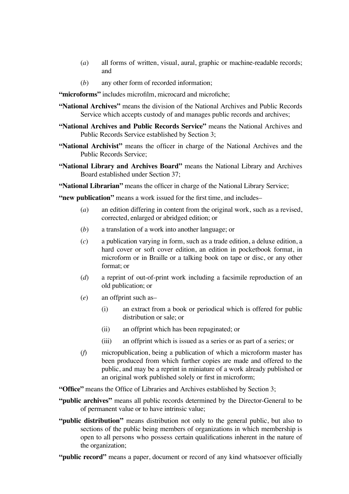- (*a*) all forms of written, visual, aural, graphic or machine-readable records; and
- (*b*) any other form of recorded information;

**"microforms"** includes microfilm, microcard and microfiche;

- **"National Archives"** means the division of the National Archives and Public Records Service which accepts custody of and manages public records and archives;
- **"National Archives and Public Records Service"** means the National Archives and Public Records Service established by Section 3;
- **"National Archivist"** means the officer in charge of the National Archives and the Public Records Service;
- **"National Library and Archives Board"** means the National Library and Archives Board established under Section 37;

**"National Librarian"** means the officer in charge of the National Library Service;

**"new publication"** means a work issued for the first time, and includes–

- (*a*) an edition differing in content from the original work, such as a revised, corrected, enlarged or abridged edition; or
- (*b*) a translation of a work into another language; or
- (*c*) a publication varying in form, such as a trade edition, a deluxe edition, a hard cover or soft cover edition, an edition in pocketbook format, in microform or in Braille or a talking book on tape or disc, or any other format; or
- (*d*) a reprint of out-of-print work including a facsimile reproduction of an old publication; or
- (*e*) an offprint such as–
	- (i) an extract from a book or periodical which is offered for public distribution or sale; or
	- (ii) an offprint which has been repaginated; or
	- (iii) an offprint which is issued as a series or as part of a series; or
- (*f*) micropublication, being a publication of which a microform master has been produced from which further copies are made and offered to the public, and may be a reprint in miniature of a work already published or an original work published solely or first in microform;

**"Office"** means the Office of Libraries and Archives established by Section 3;

- **"public archives"** means all public records determined by the Director-General to be of permanent value or to have intrinsic value;
- **"public distribution"** means distribution not only to the general public, but also to sections of the public being members of organizations in which membership is open to all persons who possess certain qualifications inherent in the nature of the organization;
- **"public record"** means a paper, document or record of any kind whatsoever officially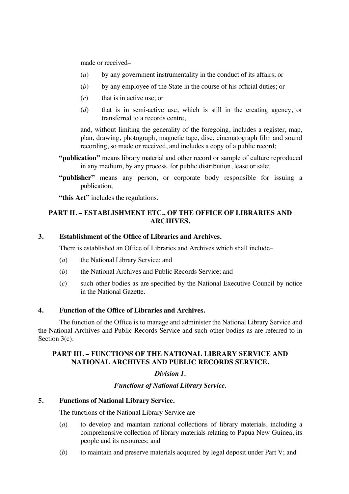made or received–

- (*a*) by any government instrumentality in the conduct of its affairs; or
- (*b*) by any employee of the State in the course of his official duties; or
- (*c*) that is in active use; or
- (*d*) that is in semi-active use, which is still in the creating agency, or transferred to a records centre,

and, without limiting the generality of the foregoing, includes a register, map, plan, drawing, photograph, magnetic tape, disc, cinematograph film and sound recording, so made or received, and includes a copy of a public record;

- **"publication"** means library material and other record or sample of culture reproduced in any medium, by any process, for public distribution, lease or sale;
- **"publisher"** means any person, or corporate body responsible for issuing a publication;

**"this Act"** includes the regulations.

# **PART II. – ESTABLISHMENT ETC., OF THE OFFICE OF LIBRARIES AND ARCHIVES.**

#### **3. Establishment of the Office of Libraries and Archives.**

There is established an Office of Libraries and Archives which shall include–

- (*a*) the National Library Service; and
- (*b*) the National Archives and Public Records Service; and
- (*c*) such other bodies as are specified by the National Executive Council by notice in the National Gazette.

#### **4. Function of the Office of Libraries and Archives.**

The function of the Office is to manage and administer the National Library Service and the National Archives and Public Records Service and such other bodies as are referred to in Section 3(c).

#### **PART III. – FUNCTIONS OF THE NATIONAL LIBRARY SERVICE AND NATIONAL ARCHIVES AND PUBLIC RECORDS SERVICE.**

# *Division 1.*

#### *Functions of National Library Service.*

# **5. Functions of National Library Service.**

The functions of the National Library Service are–

- (*a*) to develop and maintain national collections of library materials, including a comprehensive collection of library materials relating to Papua New Guinea, its people and its resources; and
- (*b*) to maintain and preserve materials acquired by legal deposit under Part V; and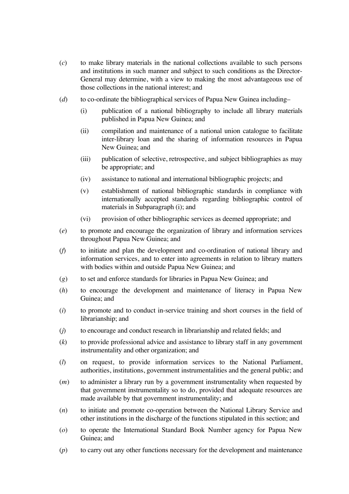- (*c*) to make library materials in the national collections available to such persons and institutions in such manner and subject to such conditions as the Director-General may determine, with a view to making the most advantageous use of those collections in the national interest; and
- (*d*) to co-ordinate the bibliographical services of Papua New Guinea including–
	- (i) publication of a national bibliography to include all library materials published in Papua New Guinea; and
	- (ii) compilation and maintenance of a national union catalogue to facilitate inter-library loan and the sharing of information resources in Papua New Guinea: and
	- (iii) publication of selective, retrospective, and subject bibliographies as may be appropriate; and
	- (iv) assistance to national and international bibliographic projects; and
	- (v) establishment of national bibliographic standards in compliance with internationally accepted standards regarding bibliographic control of materials in Subparagraph (i); and
	- (vi) provision of other bibliographic services as deemed appropriate; and
- (*e*) to promote and encourage the organization of library and information services throughout Papua New Guinea; and
- (*f*) to initiate and plan the development and co-ordination of national library and information services, and to enter into agreements in relation to library matters with bodies within and outside Papua New Guinea; and
- (*g*) to set and enforce standards for libraries in Papua New Guinea; and
- (*h*) to encourage the development and maintenance of literacy in Papua New Guinea; and
- (*i*) to promote and to conduct in-service training and short courses in the field of librarianship; and
- (*j*) to encourage and conduct research in librarianship and related fields; and
- (*k*) to provide professional advice and assistance to library staff in any government instrumentality and other organization; and
- (*l*) on request, to provide information services to the National Parliament, authorities, institutions, government instrumentalities and the general public; and
- (*m*) to administer a library run by a government instrumentality when requested by that government instrumentality so to do, provided that adequate resources are made available by that government instrumentality; and
- (*n*) to initiate and promote co-operation between the National Library Service and other institutions in the discharge of the functions stipulated in this section; and
- (*o*) to operate the International Standard Book Number agency for Papua New Guinea; and
- (*p*) to carry out any other functions necessary for the development and maintenance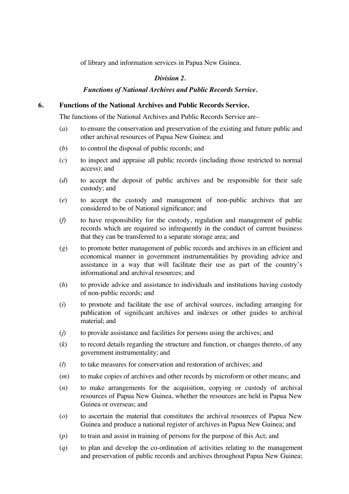of library and information services in Papua New Guinea.

#### *Division 2.*

#### *Functions of National Archives and Public Records Service.*

#### **6. Functions of the National Archives and Public Records Service.**

The functions of the National Archives and Public Records Service are–

- (*a*) to ensure the conservation and preservation of the existing and future public and other archival resources of Papua New Guinea; and
- (*b*) to control the disposal of public records; and
- (*c*) to inspect and appraise all public records (including those restricted to normal access); and
- (*d*) to accept the deposit of public archives and be responsible for their safe custody; and
- (*e*) to accept the custody and management of non-public archives that are considered to be of National significance; and
- (*f*) to have responsibility for the custody, regulation and management of public records which are required so infrequently in the conduct of current business that they can be transferred to a separate storage area; and
- (*g*) to promote better management of public records and archives in an efficient and economical manner in government instrumentalities by providing advice and assistance in a way that will facilitate their use as part of the country's informational and archival resources; and
- (*h*) to provide advice and assistance to individuals and institutions having custody of non-public records; and
- (*i*) to promote and facilitate the use of archival sources, including arranging for publication of significant archives and indexes or other guides to archival material; and
- (*j*) to provide assistance and facilities for persons using the archives; and
- (*k*) to record details regarding the structure and function, or changes thereto, of any government instrumentality; and
- (*l*) to take measures for conservation and restoration of archives; and
- (*m*) to make copies of archives and other records by microform or other means; and
- (*n*) to make arrangements for the acquisition, copying or custody of archival resources of Papua New Guinea, whether the resources are held in Papua New Guinea or overseas; and
- (*o*) to ascertain the material that constitutes the archival resources of Papua New Guinea and produce a national register of archives in Papua New Guinea; and
- (*p*) to train and assist in training of persons for the purpose of this Act; and
- (*q*) to plan and develop the co-ordination of activities relating to the management and preservation of public records and archives throughout Papua New Guinea;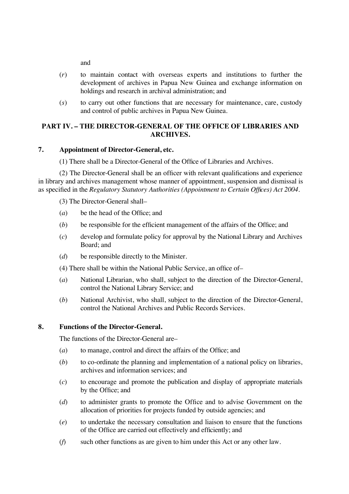and

- (*r*) to maintain contact with overseas experts and institutions to further the development of archives in Papua New Guinea and exchange information on holdings and research in archival administration; and
- (*s*) to carry out other functions that are necessary for maintenance, care, custody and control of public archives in Papua New Guinea.

# **PART IV. – THE DIRECTOR-GENERAL OF THE OFFICE OF LIBRARIES AND ARCHIVES.**

# **7. Appointment of Director-General, etc.**

(1) There shall be a Director-General of the Office of Libraries and Archives.

(2) The Director-General shall be an officer with relevant qualifications and experience in library and archives management whose manner of appointment, suspension and dismissal is as specified in the *Regulatory Statutory Authorities (Appointment to Certain Offices) Act 2004*.

(3) The Director-General shall–

- (*a*) be the head of the Office; and
- (*b*) be responsible for the efficient management of the affairs of the Office; and
- (*c*) develop and formulate policy for approval by the National Library and Archives Board; and
- (*d*) be responsible directly to the Minister.

(4) There shall be within the National Public Service, an office of–

- (*a*) National Librarian, who shall, subject to the direction of the Director-General, control the National Library Service; and
- (*b*) National Archivist, who shall, subject to the direction of the Director-General, control the National Archives and Public Records Services.

#### **8. Functions of the Director-General.**

The functions of the Director-General are–

- (*a*) to manage, control and direct the affairs of the Office; and
- (*b*) to co-ordinate the planning and implementation of a national policy on libraries, archives and information services; and
- (*c*) to encourage and promote the publication and display of appropriate materials by the Office; and
- (*d*) to administer grants to promote the Office and to advise Government on the allocation of priorities for projects funded by outside agencies; and
- (*e*) to undertake the necessary consultation and liaison to ensure that the functions of the Office are carried out effectively and efficiently; and
- (*f*) such other functions as are given to him under this Act or any other law.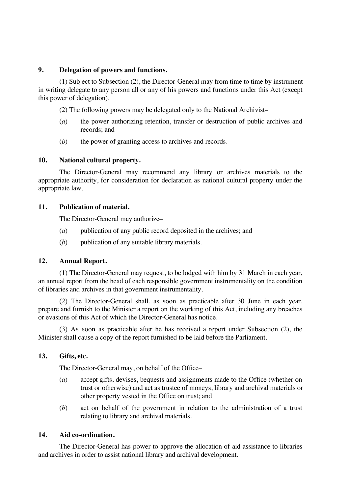#### **9. Delegation of powers and functions.**

(1) Subject to Subsection (2), the Director-General may from time to time by instrument in writing delegate to any person all or any of his powers and functions under this Act (except this power of delegation).

(2) The following powers may be delegated only to the National Archivist–

- (*a*) the power authorizing retention, transfer or destruction of public archives and records; and
- (*b*) the power of granting access to archives and records.

#### **10. National cultural property.**

The Director-General may recommend any library or archives materials to the appropriate authority, for consideration for declaration as national cultural property under the appropriate law.

#### **11. Publication of material.**

The Director-General may authorize–

- (*a*) publication of any public record deposited in the archives; and
- (*b*) publication of any suitable library materials.

#### **12. Annual Report.**

(1) The Director-General may request, to be lodged with him by 31 March in each year, an annual report from the head of each responsible government instrumentality on the condition of libraries and archives in that government instrumentality.

(2) The Director-General shall, as soon as practicable after 30 June in each year, prepare and furnish to the Minister a report on the working of this Act, including any breaches or evasions of this Act of which the Director-General has notice.

(3) As soon as practicable after he has received a report under Subsection (2), the Minister shall cause a copy of the report furnished to be laid before the Parliament.

#### **13. Gifts, etc.**

The Director-General may, on behalf of the Office–

- (*a*) accept gifts, devises, bequests and assignments made to the Office (whether on trust or otherwise) and act as trustee of moneys, library and archival materials or other property vested in the Office on trust; and
- (*b*) act on behalf of the government in relation to the administration of a trust relating to library and archival materials.

#### **14. Aid co-ordination.**

The Director-General has power to approve the allocation of aid assistance to libraries and archives in order to assist national library and archival development.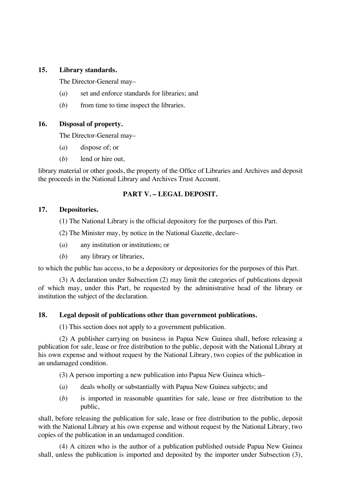#### **15. Library standards.**

The Director-General may–

- (*a*) set and enforce standards for libraries; and
- (*b*) from time to time inspect the libraries.

# **16. Disposal of property.**

The Director-General may–

- (*a*) dispose of; or
- (*b*) lend or hire out,

library material or other goods, the property of the Office of Libraries and Archives and deposit the proceeds in the National Library and Archives Trust Account.

# **PART V. – LEGAL DEPOSIT.**

# **17. Depositories.**

(1) The National Library is the official depository for the purposes of this Part.

- (2) The Minister may, by notice in the National Gazette, declare–
- (*a*) any institution or institutions; or
- (*b*) any library or libraries,

to which the public has access, to be a depository or depositories for the purposes of this Part.

(3) A declaration under Subsection (2) may limit the categories of publications deposit of which may, under this Part, be requested by the administrative head of the library or institution the subject of the declaration.

# **18. Legal deposit of publications other than government publications.**

(1) This section does not apply to a government publication.

(2) A publisher carrying on business in Papua New Guinea shall, before releasing a publication for sale, lease or free distribution to the public, deposit with the National Library at his own expense and without request by the National Library, two copies of the publication in an undamaged condition.

(3) A person importing a new publication into Papua New Guinea which–

- (*a*) deals wholly or substantially with Papua New Guinea subjects; and
- (*b*) is imported in reasonable quantities for sale, lease or free distribution to the public,

shall, before releasing the publication for sale, lease or free distribution to the public, deposit with the National Library at his own expense and without request by the National Library, two copies of the publication in an undamaged condition.

(4) A citizen who is the author of a publication published outside Papua New Guinea shall, unless the publication is imported and deposited by the importer under Subsection (3),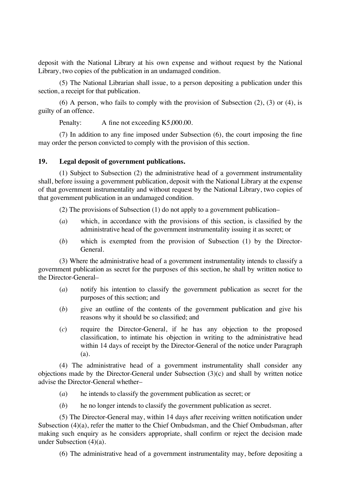deposit with the National Library at his own expense and without request by the National Library, two copies of the publication in an undamaged condition.

(5) The National Librarian shall issue, to a person depositing a publication under this section, a receipt for that publication.

(6) A person, who fails to comply with the provision of Subsection  $(2)$ ,  $(3)$  or  $(4)$ , is guilty of an offence.

Penalty: A fine not exceeding K5,000.00.

(7) In addition to any fine imposed under Subsection (6), the court imposing the fine may order the person convicted to comply with the provision of this section.

#### **19. Legal deposit of government publications.**

(1) Subject to Subsection (2) the administrative head of a government instrumentality shall, before issuing a government publication, deposit with the National Library at the expense of that government instrumentality and without request by the National Library, two copies of that government publication in an undamaged condition.

(2) The provisions of Subsection (1) do not apply to a government publication–

- (*a*) which, in accordance with the provisions of this section, is classified by the administrative head of the government instrumentality issuing it as secret; or
- (*b*) which is exempted from the provision of Subsection (1) by the Director-General.

(3) Where the administrative head of a government instrumentality intends to classify a government publication as secret for the purposes of this section, he shall by written notice to the Director-General–

- (*a*) notify his intention to classify the government publication as secret for the purposes of this section; and
- (*b*) give an outline of the contents of the government publication and give his reasons why it should be so classified; and
- (*c*) require the Director-General, if he has any objection to the proposed classification, to intimate his objection in writing to the administrative head within 14 days of receipt by the Director-General of the notice under Paragraph (a).

(4) The administrative head of a government instrumentality shall consider any objections made by the Director-General under Subsection (3)(c) and shall by written notice advise the Director-General whether–

- (*a*) he intends to classify the government publication as secret; or
- (*b*) he no longer intends to classify the government publication as secret.

(5) The Director-General may, within 14 days after receiving written notification under Subsection (4)(a), refer the matter to the Chief Ombudsman, and the Chief Ombudsman, after making such enquiry as he considers appropriate, shall confirm or reject the decision made under Subsection (4)(a).

(6) The administrative head of a government instrumentality may, before depositing a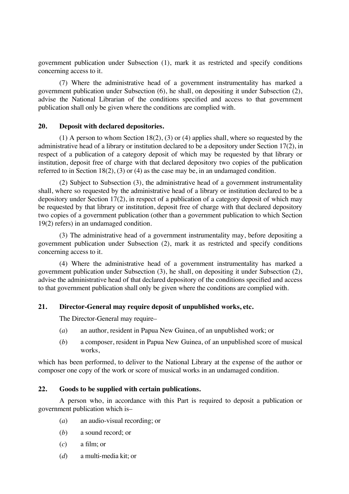government publication under Subsection (1), mark it as restricted and specify conditions concerning access to it.

(7) Where the administrative head of a government instrumentality has marked a government publication under Subsection (6), he shall, on depositing it under Subsection (2), advise the National Librarian of the conditions specified and access to that government publication shall only be given where the conditions are complied with.

#### **20. Deposit with declared depositories.**

(1) A person to whom Section 18(2), (3) or (4) applies shall, where so requested by the administrative head of a library or institution declared to be a depository under Section 17(2), in respect of a publication of a category deposit of which may be requested by that library or institution, deposit free of charge with that declared depository two copies of the publication referred to in Section 18(2), (3) or (4) as the case may be, in an undamaged condition.

(2) Subject to Subsection (3), the administrative head of a government instrumentality shall, where so requested by the administrative head of a library or institution declared to be a depository under Section  $17(2)$ , in respect of a publication of a category deposit of which may be requested by that library or institution, deposit free of charge with that declared depository two copies of a government publication (other than a government publication to which Section 19(2) refers) in an undamaged condition.

(3) The administrative head of a government instrumentality may, before depositing a government publication under Subsection (2), mark it as restricted and specify conditions concerning access to it.

(4) Where the administrative head of a government instrumentality has marked a government publication under Subsection (3), he shall, on depositing it under Subsection (2), advise the administrative head of that declared depository of the conditions specified and access to that government publication shall only be given where the conditions are complied with.

#### **21. Director-General may require deposit of unpublished works, etc.**

The Director-General may require–

- (*a*) an author, resident in Papua New Guinea, of an unpublished work; or
- (*b*) a composer, resident in Papua New Guinea, of an unpublished score of musical works,

which has been performed, to deliver to the National Library at the expense of the author or composer one copy of the work or score of musical works in an undamaged condition.

#### **22. Goods to be supplied with certain publications.**

A person who, in accordance with this Part is required to deposit a publication or government publication which is–

- (*a*) an audio-visual recording; or
- (*b*) a sound record; or
- (*c*) a film; or
- (*d*) a multi-media kit; or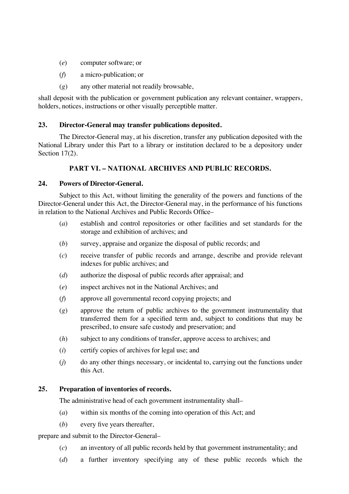- (*e*) computer software; or
- (*f*) a micro-publication; or
- (*g*) any other material not readily browsable,

shall deposit with the publication or government publication any relevant container, wrappers, holders, notices, instructions or other visually perceptible matter.

# **23. Director-General may transfer publications deposited.**

The Director-General may, at his discretion, transfer any publication deposited with the National Library under this Part to a library or institution declared to be a depository under Section 17(2).

# **PART VI. – NATIONAL ARCHIVES AND PUBLIC RECORDS.**

#### **24. Powers of Director-General.**

Subject to this Act, without limiting the generality of the powers and functions of the Director-General under this Act, the Director-General may, in the performance of his functions in relation to the National Archives and Public Records Office–

- (*a*) establish and control repositories or other facilities and set standards for the storage and exhibition of archives; and
- (*b*) survey, appraise and organize the disposal of public records; and
- (*c*) receive transfer of public records and arrange, describe and provide relevant indexes for public archives; and
- (*d*) authorize the disposal of public records after appraisal; and
- (*e*) inspect archives not in the National Archives; and
- (*f*) approve all governmental record copying projects; and
- (*g*) approve the return of public archives to the government instrumentality that transferred them for a specified term and, subject to conditions that may be prescribed, to ensure safe custody and preservation; and
- (*h*) subject to any conditions of transfer, approve access to archives; and
- (*i*) certify copies of archives for legal use; and
- (*j*) do any other things necessary, or incidental to, carrying out the functions under this Act.

# **25. Preparation of inventories of records.**

The administrative head of each government instrumentality shall–

- (*a*) within six months of the coming into operation of this Act; and
- (*b*) every five years thereafter,

prepare and submit to the Director-General–

- (*c*) an inventory of all public records held by that government instrumentality; and
- (*d*) a further inventory specifying any of these public records which the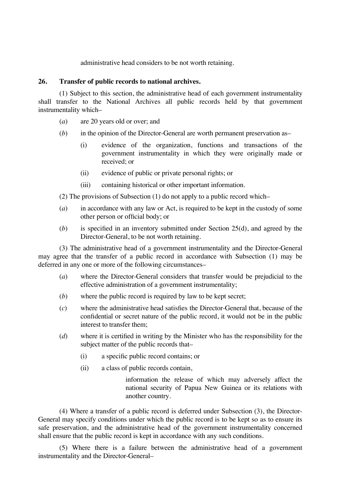administrative head considers to be not worth retaining.

# **26. Transfer of public records to national archives.**

(1) Subject to this section, the administrative head of each government instrumentality shall transfer to the National Archives all public records held by that government instrumentality which–

- (*a*) are 20 years old or over; and
- (*b*) in the opinion of the Director-General are worth permanent preservation as–
	- (i) evidence of the organization, functions and transactions of the government instrumentality in which they were originally made or received; or
	- (ii) evidence of public or private personal rights; or
	- (iii) containing historical or other important information.

(2) The provisions of Subsection (1) do not apply to a public record which–

- (*a*) in accordance with any law or Act, is required to be kept in the custody of some other person or official body; or
- (*b*) is specified in an inventory submitted under Section 25(d), and agreed by the Director-General, to be not worth retaining.

(3) The administrative head of a government instrumentality and the Director-General may agree that the transfer of a public record in accordance with Subsection (1) may be deferred in any one or more of the following circumstances–

- (*a*) where the Director-General considers that transfer would be prejudicial to the effective administration of a government instrumentality;
- (*b*) where the public record is required by law to be kept secret;
- (*c*) where the administrative head satisfies the Director-General that, because of the confidential or secret nature of the public record, it would not be in the public interest to transfer them;
- (*d*) where it is certified in writing by the Minister who has the responsibility for the subject matter of the public records that–
	- (i) a specific public record contains; or
	- (ii) a class of public records contain,

information the release of which may adversely affect the national security of Papua New Guinea or its relations with another country.

(4) Where a transfer of a public record is deferred under Subsection (3), the Director-General may specify conditions under which the public record is to be kept so as to ensure its safe preservation, and the administrative head of the government instrumentality concerned shall ensure that the public record is kept in accordance with any such conditions.

(5) Where there is a failure between the administrative head of a government instrumentality and the Director-General–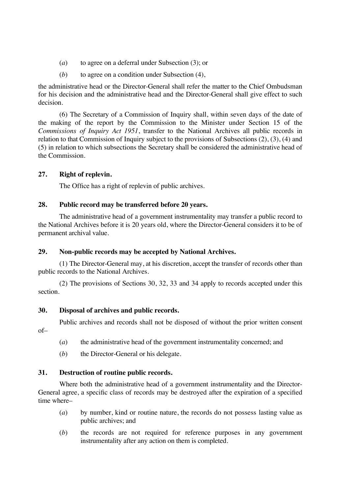- (*a*) to agree on a deferral under Subsection (3); or
- (*b*) to agree on a condition under Subsection (4),

the administrative head or the Director-General shall refer the matter to the Chief Ombudsman for his decision and the administrative head and the Director-General shall give effect to such decision.

(6) The Secretary of a Commission of Inquiry shall, within seven days of the date of the making of the report by the Commission to the Minister under Section 15 of the *Commissions of Inquiry Act 1951*, transfer to the National Archives all public records in relation to that Commission of Inquiry subject to the provisions of Subsections (2), (3), (4) and (5) in relation to which subsections the Secretary shall be considered the administrative head of the Commission.

# **27. Right of replevin.**

The Office has a right of replevin of public archives.

# **28. Public record may be transferred before 20 years.**

The administrative head of a government instrumentality may transfer a public record to the National Archives before it is 20 years old, where the Director-General considers it to be of permanent archival value.

# **29. Non-public records may be accepted by National Archives.**

(1) The Director-General may, at his discretion, accept the transfer of records other than public records to the National Archives.

(2) The provisions of Sections 30, 32, 33 and 34 apply to records accepted under this section.

# **30. Disposal of archives and public records.**

Public archives and records shall not be disposed of without the prior written consent

of–

- (*a*) the administrative head of the government instrumentality concerned; and
- (*b*) the Director-General or his delegate.

# **31. Destruction of routine public records.**

Where both the administrative head of a government instrumentality and the Director-General agree, a specific class of records may be destroyed after the expiration of a specified time where–

- (*a*) by number, kind or routine nature, the records do not possess lasting value as public archives; and
- (*b*) the records are not required for reference purposes in any government instrumentality after any action on them is completed.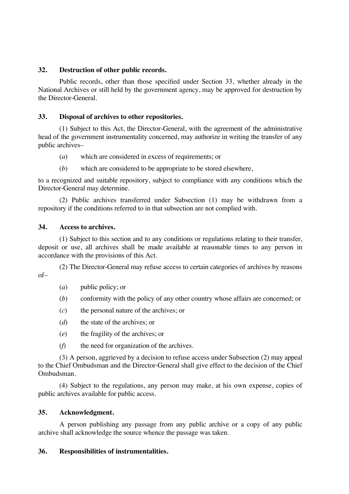# **32. Destruction of other public records.**

Public records, other than those specified under Section 33, whether already in the National Archives or still held by the government agency, may be approved for destruction by the Director-General.

# **33. Disposal of archives to other repositories.**

(1) Subject to this Act, the Director-General, with the agreement of the administrative head of the government instrumentality concerned, may authorize in writing the transfer of any public archives–

- (*a*) which are considered in excess of requirements; or
- (*b*) which are considered to be appropriate to be stored elsewhere,

to a recognized and suitable repository, subject to compliance with any conditions which the Director-General may determine.

(2) Public archives transferred under Subsection (1) may be withdrawn from a repository if the conditions referred to in that subsection are not complied with.

#### **34. Access to archives.**

(1) Subject to this section and to any conditions or regulations relating to their transfer, deposit or use, all archives shall be made available at reasonable times to any person in accordance with the provisions of this Act.

(2) The Director-General may refuse access to certain categories of archives by reasons of–

- (*a*) public policy; or
- (*b*) conformity with the policy of any other country whose affairs are concerned; or
- (*c*) the personal nature of the archives; or
- (*d*) the state of the archives; or
- (*e*) the fragility of the archives; or
- (*f*) the need for organization of the archives.

(3) A person, aggrieved by a decision to refuse access under Subsection (2) may appeal to the Chief Ombudsman and the Director-General shall give effect to the decision of the Chief Ombudsman.

(4) Subject to the regulations, any person may make, at his own expense, copies of public archives available for public access.

#### **35. Acknowledgment.**

A person publishing any passage from any public archive or a copy of any public archive shall acknowledge the source whence the passage was taken.

#### **36. Responsibilities of instrumentalities.**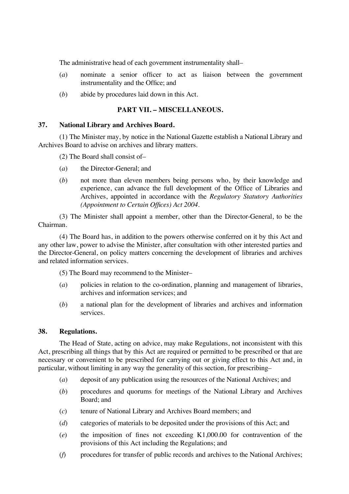The administrative head of each government instrumentality shall–

- (*a*) nominate a senior officer to act as liaison between the government instrumentality and the Office; and
- (*b*) abide by procedures laid down in this Act.

# **PART VII. – MISCELLANEOUS.**

#### **37. National Library and Archives Board.**

(1) The Minister may, by notice in the National Gazette establish a National Library and Archives Board to advise on archives and library matters.

(2) The Board shall consist of–

- (*a*) the Director-General; and
- (*b*) not more than eleven members being persons who, by their knowledge and experience, can advance the full development of the Office of Libraries and Archives, appointed in accordance with the *Regulatory Statutory Authorities (Appointment to Certain Offices) Act 2004*.

(3) The Minister shall appoint a member, other than the Director-General, to be the Chairman.

(4) The Board has, in addition to the powers otherwise conferred on it by this Act and any other law, power to advise the Minister, after consultation with other interested parties and the Director-General, on policy matters concerning the development of libraries and archives and related information services.

(5) The Board may recommend to the Minister–

- (*a*) policies in relation to the co-ordination, planning and management of libraries, archives and information services; and
- (*b*) a national plan for the development of libraries and archives and information services.

#### **38. Regulations.**

The Head of State, acting on advice, may make Regulations, not inconsistent with this Act, prescribing all things that by this Act are required or permitted to be prescribed or that are necessary or convenient to be prescribed for carrying out or giving effect to this Act and, in particular, without limiting in any way the generality of this section, for prescribing–

- (*a*) deposit of any publication using the resources of the National Archives; and
- (*b*) procedures and quorums for meetings of the National Library and Archives Board; and
- (*c*) tenure of National Library and Archives Board members; and
- (*d*) categories of materials to be deposited under the provisions of this Act; and
- (*e*) the imposition of fines not exceeding K1,000.00 for contravention of the provisions of this Act including the Regulations; and
- (*f*) procedures for transfer of public records and archives to the National Archives;